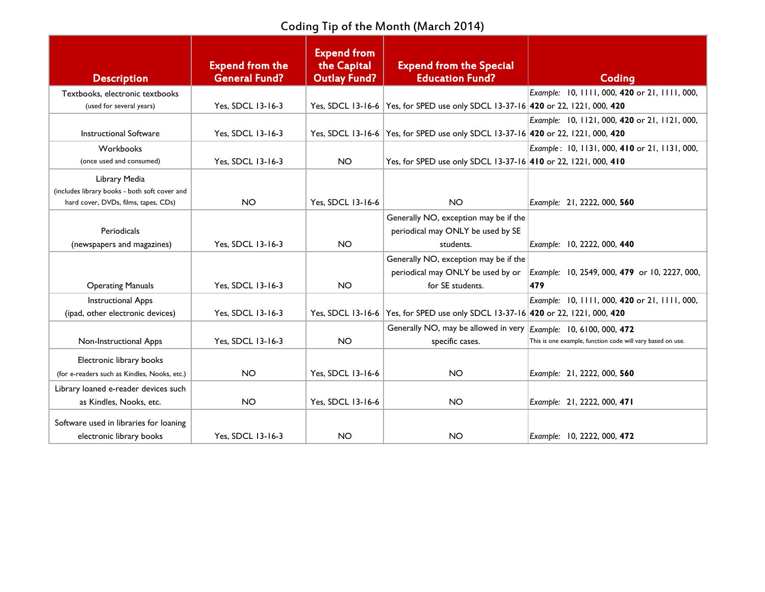Coding Tip of the Month (March 2014)

| <b>Description</b>                                                                                     | <b>Expend from the</b><br><b>General Fund?</b> | <b>Expend from</b><br>the Capital<br><b>Outlay Fund?</b> | <b>Expend from the Special</b><br><b>Education Fund?</b>                         | Coding                                                     |
|--------------------------------------------------------------------------------------------------------|------------------------------------------------|----------------------------------------------------------|----------------------------------------------------------------------------------|------------------------------------------------------------|
| Textbooks, electronic textbooks                                                                        |                                                |                                                          |                                                                                  | Example: 10, 1111, 000, 420 or 21, 1111, 000,              |
| (used for several years)                                                                               | Yes, SDCL 13-16-3                              |                                                          | Yes, SDCL 13-16-6 Yes, for SPED use only SDCL 13-37-16 420 or 22, 1221, 000, 420 |                                                            |
|                                                                                                        |                                                |                                                          |                                                                                  | Example: 10, 1121, 000, 420 or 21, 1121, 000,              |
| <b>Instructional Software</b>                                                                          | Yes, SDCL 13-16-3                              |                                                          | Yes, SDCL 13-16-6 Yes, for SPED use only SDCL 13-37-16 420 or 22, 1221, 000, 420 |                                                            |
| Workbooks                                                                                              |                                                |                                                          |                                                                                  | Example: 10, 1131, 000, 410 or 21, 1131, 000,              |
| (once used and consumed)                                                                               | Yes, SDCL 13-16-3                              | <b>NO</b>                                                | Yes, for SPED use only SDCL 13-37-16 410 or 22, 1221, 000, 410                   |                                                            |
| Library Media<br>(includes library books - both soft cover and<br>hard cover, DVDs, films, tapes, CDs) | <b>NO</b>                                      | Yes, SDCL 13-16-6                                        | <b>NO</b>                                                                        | Example: 21, 2222, 000, 560                                |
|                                                                                                        |                                                |                                                          | Generally NO, exception may be if the                                            |                                                            |
| Periodicals                                                                                            |                                                |                                                          | periodical may ONLY be used by SE                                                |                                                            |
| (newspapers and magazines)                                                                             | Yes, SDCL 13-16-3                              | <b>NO</b>                                                | students.                                                                        | Example: 10, 2222, 000, 440                                |
|                                                                                                        |                                                |                                                          | Generally NO, exception may be if the                                            |                                                            |
|                                                                                                        |                                                |                                                          | periodical may ONLY be used by or                                                | Example: 10, 2549, 000, 479 or 10, 2227, 000,              |
| <b>Operating Manuals</b>                                                                               | Yes, SDCL 13-16-3                              | <b>NO</b>                                                | for SE students.                                                                 | 479                                                        |
| <b>Instructional Apps</b>                                                                              |                                                |                                                          |                                                                                  | Example: 10, 1111, 000, 420 or 21, 1111, 000,              |
| (ipad, other electronic devices)                                                                       | Yes, SDCL 13-16-3                              |                                                          | Yes, SDCL 13-16-6 Yes, for SPED use only SDCL 13-37-16 420 or 22, 1221, 000, 420 |                                                            |
|                                                                                                        |                                                |                                                          | Generally NO, may be allowed in very <i>Example</i> : 10, 6100, 000, 472         |                                                            |
| Non-Instructional Apps                                                                                 | Yes, SDCL 13-16-3                              | <b>NO</b>                                                | specific cases.                                                                  | This is one example, function code will vary based on use. |
| Electronic library books                                                                               |                                                |                                                          |                                                                                  |                                                            |
| (for e-readers such as Kindles, Nooks, etc.)                                                           | <b>NO</b>                                      | Yes, SDCL 13-16-6                                        | <b>NO</b>                                                                        | Example: 21, 2222, 000, 560                                |
| Library loaned e-reader devices such                                                                   |                                                |                                                          |                                                                                  |                                                            |
| as Kindles, Nooks, etc.                                                                                | <b>NO</b>                                      | Yes, SDCL 13-16-6                                        | <b>NO</b>                                                                        | Example: 21, 2222, 000, 471                                |
| Software used in libraries for loaning                                                                 |                                                |                                                          |                                                                                  |                                                            |
| electronic library books                                                                               | Yes, SDCL 13-16-3                              | <b>NO</b>                                                | <b>NO</b>                                                                        | Example: 10, 2222, 000, 472                                |
|                                                                                                        |                                                |                                                          |                                                                                  |                                                            |